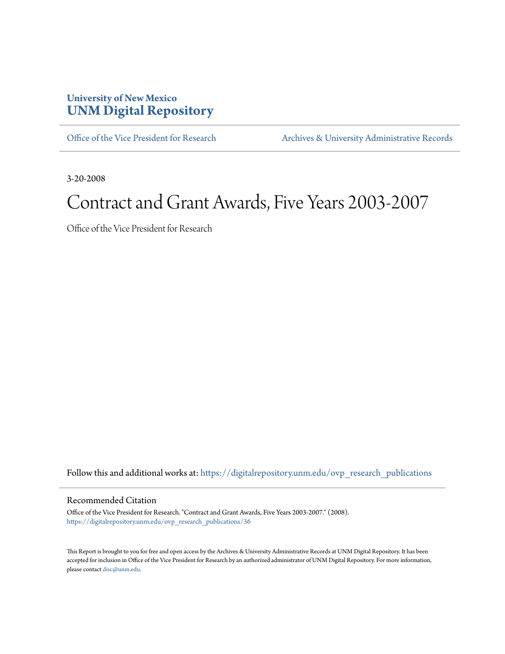## **University of New Mexico [UNM Digital Repository](https://digitalrepository.unm.edu?utm_source=digitalrepository.unm.edu%2Fovp_research_publications%2F36&utm_medium=PDF&utm_campaign=PDFCoverPages)**

[Office of the Vice President for Research](https://digitalrepository.unm.edu/ovp_research_publications?utm_source=digitalrepository.unm.edu%2Fovp_research_publications%2F36&utm_medium=PDF&utm_campaign=PDFCoverPages) [Archives & University Administrative Records](https://digitalrepository.unm.edu/archives?utm_source=digitalrepository.unm.edu%2Fovp_research_publications%2F36&utm_medium=PDF&utm_campaign=PDFCoverPages)

3-20-2008

## Contract and Grant Awards, Five Years 2003-2007

Office of the Vice President for Research

Follow this and additional works at: [https://digitalrepository.unm.edu/ovp\\_research\\_publications](https://digitalrepository.unm.edu/ovp_research_publications?utm_source=digitalrepository.unm.edu%2Fovp_research_publications%2F36&utm_medium=PDF&utm_campaign=PDFCoverPages)

## Recommended Citation

Office of the Vice President for Research. "Contract and Grant Awards, Five Years 2003-2007." (2008). [https://digitalrepository.unm.edu/ovp\\_research\\_publications/36](https://digitalrepository.unm.edu/ovp_research_publications/36?utm_source=digitalrepository.unm.edu%2Fovp_research_publications%2F36&utm_medium=PDF&utm_campaign=PDFCoverPages)

This Report is brought to you for free and open access by the Archives & University Administrative Records at UNM Digital Repository. It has been accepted for inclusion in Office of the Vice President for Research by an authorized administrator of UNM Digital Repository. For more information, please contact [disc@unm.edu.](mailto:disc@unm.edu)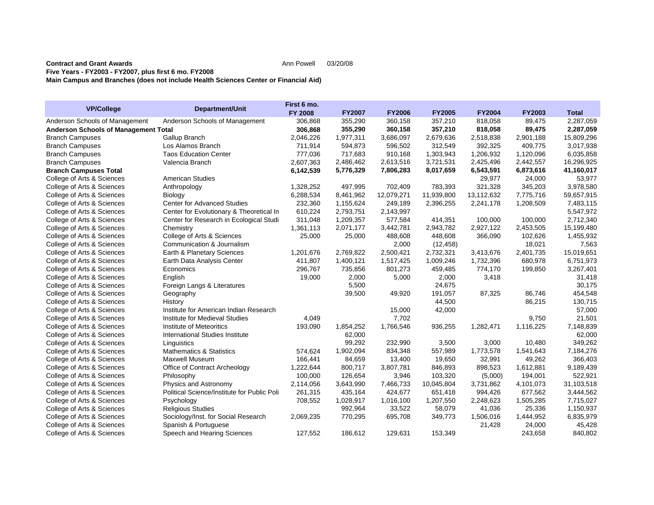## **Contract and Grant AwardsFive Years - FY2003 - FY2007, plus first 6 mo. FY2008 Main Campus and Branches (does not include Health Sciences Center or Financial Aid)**

| <b>VP/College</b>                           |                                             | First 6 mo.    |               |               |               |               |               |              |
|---------------------------------------------|---------------------------------------------|----------------|---------------|---------------|---------------|---------------|---------------|--------------|
|                                             | Department/Unit                             | <b>FY 2008</b> | <b>FY2007</b> | <b>FY2006</b> | <b>FY2005</b> | <b>FY2004</b> | <b>FY2003</b> | <b>Total</b> |
| Anderson Schools of Management              | Anderson Schools of Management              | 306,868        | 355,290       | 360,158       | 357,210       | 818,058       | 89,475        | 2,287,059    |
| <b>Anderson Schools of Management Total</b> |                                             | 306,868        | 355,290       | 360,158       | 357,210       | 818,058       | 89,475        | 2,287,059    |
| <b>Branch Campuses</b>                      | Gallup Branch                               | 2,046,226      | 1,977,311     | 3,686,097     | 2,679,636     | 2,518,838     | 2,901,188     | 15,809,296   |
| <b>Branch Campuses</b>                      | Los Alamos Branch                           | 711,914        | 594,873       | 596,502       | 312,549       | 392,325       | 409,775       | 3,017,938    |
| <b>Branch Campuses</b>                      | <b>Taos Education Center</b>                | 777,036        | 717,683       | 910,168       | 1,303,943     | 1,206,932     | 1,120,096     | 6,035,858    |
| <b>Branch Campuses</b>                      | Valencia Branch                             | 2,607,363      | 2,486,462     | 2,613,516     | 3,721,531     | 2,425,496     | 2,442,557     | 16,296,925   |
| <b>Branch Campuses Total</b>                |                                             | 6,142,539      | 5,776,329     | 7,806,283     | 8,017,659     | 6,543,591     | 6,873,616     | 41,160,017   |
| College of Arts & Sciences                  | <b>American Studies</b>                     |                |               |               |               | 29,977        | 24,000        | 53,977       |
| College of Arts & Sciences                  | Anthropology                                | 1,328,252      | 497,995       | 702,409       | 783,393       | 321,328       | 345,203       | 3,978,580    |
| College of Arts & Sciences                  | Biology                                     | 6,288,534      | 8,461,962     | 12,079,271    | 11,939,800    | 13,112,632    | 7,775,716     | 59,657,915   |
| College of Arts & Sciences                  | <b>Center for Advanced Studies</b>          | 232,360        | 1,155,624     | 249,189       | 2,396,255     | 2,241,178     | 1,208,509     | 7,483,115    |
| College of Arts & Sciences                  | Center for Evolutionary & Theoretical In    | 610,224        | 2,793,751     | 2,143,997     |               |               |               | 5,547,972    |
| College of Arts & Sciences                  | Center for Research in Ecological Studi     | 311,048        | 1,209,357     | 577,584       | 414,351       | 100,000       | 100,000       | 2,712,340    |
| College of Arts & Sciences                  | Chemistry                                   | 1,361,113      | 2,071,177     | 3,442,781     | 2,943,782     | 2,927,122     | 2,453,505     | 15,199,480   |
| College of Arts & Sciences                  | College of Arts & Sciences                  | 25,000         | 25,000        | 488,608       | 448,608       | 366,090       | 102,626       | 1,455,932    |
| College of Arts & Sciences                  | Communication & Journalism                  |                |               | 2,000         | (12, 458)     |               | 18,021        | 7,563        |
| College of Arts & Sciences                  | Earth & Planetary Sciences                  | 1.201.676      | 2,769,822     | 2,500,421     | 2,732,321     | 3,413,676     | 2,401,735     | 15,019,651   |
| College of Arts & Sciences                  | Earth Data Analysis Center                  | 411,807        | 1,400,121     | 1,517,425     | 1,009,246     | 1,732,396     | 680,978       | 6,751,973    |
| College of Arts & Sciences                  | Economics                                   | 296,767        | 735,856       | 801,273       | 459,485       | 774,170       | 199,850       | 3,267,401    |
| College of Arts & Sciences                  | English                                     | 19,000         | 2,000         | 5,000         | 2,000         | 3,418         |               | 31,418       |
| College of Arts & Sciences                  | Foreign Langs & Literatures                 |                | 5,500         |               | 24,675        |               |               | 30,175       |
| College of Arts & Sciences                  | Geography                                   |                | 39,500        | 49,920        | 191,057       | 87,325        | 86,746        | 454,548      |
| College of Arts & Sciences                  | History                                     |                |               |               | 44,500        |               | 86,215        | 130,715      |
| College of Arts & Sciences                  | Institute for American Indian Research      |                |               | 15,000        | 42,000        |               |               | 57,000       |
| College of Arts & Sciences                  | Institute for Medieval Studies              | 4,049          |               | 7,702         |               |               | 9,750         | 21,501       |
| College of Arts & Sciences                  | Institute of Meteoritics                    | 193,090        | 1,854,252     | 1,766,546     | 936,255       | 1,282,471     | 1,116,225     | 7,148,839    |
| College of Arts & Sciences                  | International Studies Institute             |                | 62,000        |               |               |               |               | 62,000       |
| College of Arts & Sciences                  | Linguistics                                 |                | 99,292        | 232,990       | 3,500         | 3,000         | 10,480        | 349,262      |
| College of Arts & Sciences                  | <b>Mathematics &amp; Statistics</b>         | 574,624        | 1,902,094     | 834,348       | 557,989       | 1,773,578     | 1,541,643     | 7,184,276    |
| College of Arts & Sciences                  | <b>Maxwell Museum</b>                       | 166,441        | 84,659        | 13,400        | 19,650        | 32,991        | 49,262        | 366,403      |
| College of Arts & Sciences                  | Office of Contract Archeology               | 1,222,644      | 800,717       | 3,807,781     | 846,893       | 898,523       | 1,612,881     | 9,189,439    |
| College of Arts & Sciences                  | Philosophy                                  | 100,000        | 126,654       | 3,946         | 103,320       | (5,000)       | 194,001       | 522,921      |
| College of Arts & Sciences                  | Physics and Astronomy                       | 2,114,056      | 3,643,990     | 7,466,733     | 10,045,804    | 3,731,862     | 4,101,073     | 31,103,518   |
| College of Arts & Sciences                  | Political Science/Institute for Public Poli | 261,315        | 435,164       | 424,677       | 651,418       | 994,426       | 677,562       | 3,444,562    |
| College of Arts & Sciences                  | Psychology                                  | 708,552        | 1,028,917     | 1,016,100     | 1,207,550     | 2,248,623     | 1,505,285     | 7,715,027    |
| College of Arts & Sciences                  | <b>Religious Studies</b>                    |                | 992,964       | 33,522        | 58,079        | 41,036        | 25,336        | 1,150,937    |
| College of Arts & Sciences                  | Sociology/Inst. for Social Research         | 2,069,235      | 770,295       | 695,708       | 349,773       | 1,506,016     | 1,444,952     | 6,835,979    |
| College of Arts & Sciences                  | Spanish & Portuguese                        |                |               |               |               | 21,428        | 24,000        | 45,428       |
| College of Arts & Sciences                  | Speech and Hearing Sciences                 | 127,552        | 186.612       | 129.631       | 153,349       |               | 243,658       | 840,802      |

Ann Powell 03/20/08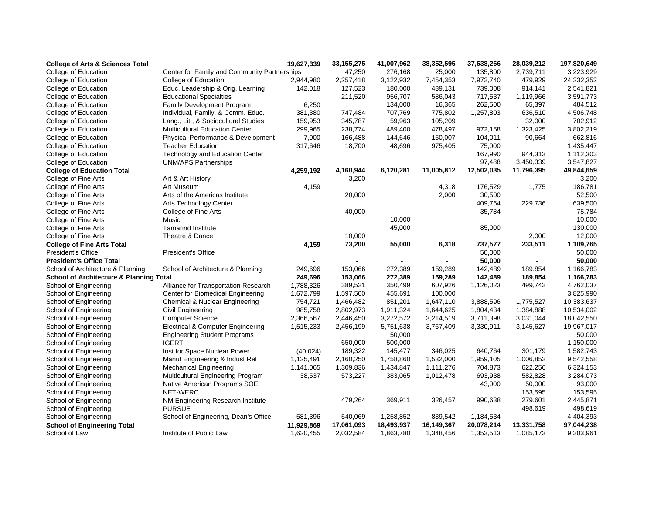| <b>College of Arts &amp; Sciences Total</b>        |                                              | 19,627,339 | 33, 155, 275 | 41,007,962 | 38,352,595 | 37,638,266 | 28,039,212 | 197,820,649 |
|----------------------------------------------------|----------------------------------------------|------------|--------------|------------|------------|------------|------------|-------------|
| College of Education                               | Center for Family and Community Partnerships |            | 47,250       | 276,168    | 25,000     | 135,800    | 2,739,711  | 3,223,929   |
| College of Education                               | College of Education                         | 2,944,980  | 2,257,418    | 3,122,932  | 7,454,353  | 7,972,740  | 479,929    | 24,232,352  |
| College of Education                               | Educ. Leadership & Orig. Learning            | 142,018    | 127,523      | 180,000    | 439,131    | 739,008    | 914,141    | 2,541,821   |
| College of Education                               | <b>Educational Specialties</b>               |            | 211,520      | 956,707    | 586,043    | 717,537    | 1,119,966  | 3,591,773   |
| College of Education                               | Family Development Program                   | 6,250      |              | 134,000    | 16,365     | 262,500    | 65,397     | 484,512     |
| College of Education                               | Individual, Family, & Comm. Educ.            | 381,380    | 747,484      | 707,769    | 775,802    | 1,257,803  | 636,510    | 4,506,748   |
| College of Education                               | Lang., Lit., & Sociocultural Studies         | 159,953    | 345,787      | 59,963     | 105,209    |            | 32,000     | 702,912     |
| College of Education                               | <b>Multicultural Education Center</b>        | 299,965    | 238,774      | 489,400    | 478,497    | 972,158    | 1,323,425  | 3,802,219   |
| College of Education                               | Physical Performance & Development           | 7,000      | 166,488      | 144,646    | 150,007    | 104,011    | 90,664     | 662,816     |
| College of Education                               | <b>Teacher Education</b>                     | 317,646    | 18,700       | 48,696     | 975,405    | 75,000     |            | 1,435,447   |
| College of Education                               | Technology and Education Center              |            |              |            |            | 167,990    | 944,313    | 1,112,303   |
| College of Education                               | <b>UNM/APS Partnerships</b>                  |            |              |            |            | 97,488     | 3,450,339  | 3,547,827   |
| <b>College of Education Total</b>                  |                                              | 4,259,192  | 4,160,944    | 6,120,281  | 11,005,812 | 12,502,035 | 11,796,395 | 49,844,659  |
| College of Fine Arts                               | Art & Art History                            |            | 3,200        |            |            |            |            | 3,200       |
| College of Fine Arts                               | Art Museum                                   | 4,159      |              |            | 4,318      | 176,529    | 1,775      | 186,781     |
| College of Fine Arts                               | Arts of the Americas Institute               |            | 20,000       |            | 2,000      | 30,500     |            | 52,500      |
| College of Fine Arts                               | Arts Technology Center                       |            |              |            |            | 409,764    | 229,736    | 639,500     |
| College of Fine Arts                               | College of Fine Arts                         |            | 40,000       |            |            | 35,784     |            | 75,784      |
| College of Fine Arts                               | Music                                        |            |              | 10,000     |            |            |            | 10,000      |
| College of Fine Arts                               | <b>Tamarind Institute</b>                    |            |              | 45,000     |            | 85,000     |            | 130,000     |
| College of Fine Arts                               | Theatre & Dance                              |            | 10,000       |            |            |            | 2,000      | 12,000      |
| <b>College of Fine Arts Total</b>                  |                                              | 4,159      | 73,200       | 55,000     | 6,318      | 737,577    | 233,511    | 1,109,765   |
| <b>President's Office</b>                          | <b>President's Office</b>                    |            |              |            |            | 50,000     |            | 50,000      |
| <b>President's Office Total</b>                    |                                              |            |              |            |            | 50,000     |            | 50,000      |
| School of Architecture & Planning                  | School of Architecture & Planning            | 249,696    | 153,066      | 272,389    | 159,289    | 142,489    | 189,854    | 1,166,783   |
| <b>School of Architecture &amp; Planning Total</b> |                                              | 249,696    | 153,066      | 272,389    | 159,289    | 142,489    | 189,854    | 1,166,783   |
| School of Engineering                              | Alliance for Transportation Research         | 1,788,326  | 389,521      | 350,499    | 607,926    | 1,126,023  | 499,742    | 4,762,037   |
| School of Engineering                              | Center for Biomedical Engineering            | 1,672,799  | 1,597,500    | 455,691    | 100,000    |            |            | 3,825,990   |
| School of Engineering                              | Chemical & Nuclear Engineering               | 754,721    | 1,466,482    | 851,201    | 1,647,110  | 3,888,596  | 1,775,527  | 10,383,637  |
| School of Engineering                              | Civil Engineering                            | 985,758    | 2,802,973    | 1,911,324  | 1,644,625  | 1,804,434  | 1,384,888  | 10,534,002  |
| School of Engineering                              | <b>Computer Science</b>                      | 2,366,567  | 2,446,450    | 3,272,572  | 3,214,519  | 3,711,398  | 3,031,044  | 18,042,550  |
| School of Engineering                              | Electrical & Computer Engineering            | 1,515,233  | 2,456,199    | 5,751,638  | 3,767,409  | 3,330,911  | 3,145,627  | 19,967,017  |
| School of Engineering                              | <b>Engineering Student Programs</b>          |            |              | 50,000     |            |            |            | 50,000      |
| School of Engineering                              | <b>IGERT</b>                                 |            | 650,000      | 500,000    |            |            |            | 1,150,000   |
| School of Engineering                              | Inst for Space Nuclear Power                 | (40, 024)  | 189,322      | 145,477    | 346,025    | 640,764    | 301,179    | 1,582,743   |
| School of Engineering                              | Manuf Engineering & Indust Rel               | 1,125,491  | 2,160,250    | 1,758,860  | 1,532,000  | 1,959,105  | 1,006,852  | 9,542,558   |
| School of Engineering                              | <b>Mechanical Engineering</b>                | 1,141,065  | 1,309,836    | 1,434,847  | 1,111,276  | 704,873    | 622,256    | 6,324,153   |
| School of Engineering                              | Multicultural Engineering Program            | 38,537     | 573,227      | 383,065    | 1,012,478  | 693,938    | 582,828    | 3,284,073   |
| School of Engineering                              | Native American Programs SOE                 |            |              |            |            | 43,000     | 50,000     | 93,000      |
| School of Engineering                              | <b>NET-WERC</b>                              |            |              |            |            |            | 153,595    | 153,595     |
| School of Engineering                              | NM Engineering Research Institute            |            | 479,264      | 369,911    | 326,457    | 990,638    | 279,601    | 2,445,871   |
| School of Engineering                              | <b>PURSUE</b>                                |            |              |            |            |            | 498,619    | 498,619     |
| School of Engineering                              | School of Engineering, Dean's Office         | 581,396    | 540,069      | 1,258,852  | 839,542    | 1,184,534  |            | 4,404,393   |
| <b>School of Engineering Total</b>                 |                                              | 11,929,869 | 17,061,093   | 18,493,937 | 16,149,367 | 20,078,214 | 13,331,758 | 97,044,238  |
| School of Law                                      | Institute of Public Law                      | 1,620,455  | 2,032,584    | 1,863,780  | 1,348,456  | 1,353,513  | 1,085,173  | 9,303,961   |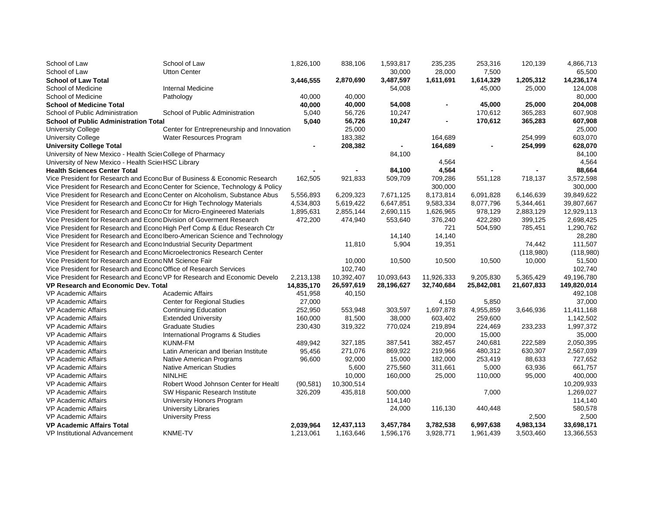| School of Law                                                            | School of Law                                                                 | 1,826,100  | 838,106    | 1,593,817  | 235,235    | 253,316    | 120,139    | 4,866,713   |
|--------------------------------------------------------------------------|-------------------------------------------------------------------------------|------------|------------|------------|------------|------------|------------|-------------|
| School of Law                                                            | <b>Utton Center</b>                                                           |            |            | 30,000     | 28,000     | 7,500      |            | 65,500      |
| <b>School of Law Total</b>                                               |                                                                               | 3,446,555  | 2,870,690  | 3,487,597  | 1,611,691  | 1,614,329  | 1,205,312  | 14,236,174  |
| School of Medicine                                                       | <b>Internal Medicine</b>                                                      |            |            | 54,008     |            | 45,000     | 25,000     | 124,008     |
| School of Medicine                                                       | Pathology                                                                     | 40.000     | 40,000     |            |            |            |            | 80,000      |
| <b>School of Medicine Total</b>                                          |                                                                               | 40,000     | 40,000     | 54,008     |            | 45,000     | 25,000     | 204,008     |
| School of Public Administration                                          | School of Public Administration                                               | 5,040      | 56,726     | 10,247     |            | 170,612    | 365,283    | 607,908     |
| <b>School of Public Administration Total</b>                             |                                                                               | 5,040      | 56,726     | 10,247     |            | 170,612    | 365,283    | 607,908     |
| <b>University College</b>                                                | Center for Entrepreneurship and Innovation                                    |            | 25,000     |            |            |            |            | 25,000      |
| <b>University College</b>                                                | Water Resources Program                                                       |            | 183,382    |            | 164,689    |            | 254,999    | 603,070     |
| <b>University College Total</b>                                          |                                                                               |            | 208,382    |            | 164,689    |            | 254,999    | 628,070     |
| University of New Mexico - Health Scier College of Pharmacy              |                                                                               |            |            | 84,100     |            |            |            | 84,100      |
| University of New Mexico - Health Sciel HSC Library                      |                                                                               |            |            |            | 4,564      |            |            | 4,564       |
| <b>Health Sciences Center Total</b>                                      |                                                                               |            |            | 84,100     | 4,564      |            |            | 88,664      |
|                                                                          | Vice President for Research and Econo Bur of Business & Economic Research     | 162,505    | 921,833    | 509,709    | 709,286    | 551,128    | 718,137    | 3,572,598   |
|                                                                          | Vice President for Research and Econo Center for Science, Technology & Policy |            |            |            | 300,000    |            |            | 300,000     |
|                                                                          | Vice President for Research and Econo Center on Alcoholism, Substance Abus    | 5,556,893  | 6,209,323  | 7,671,125  | 8,173,814  | 6,091,828  | 6,146,639  | 39,849,622  |
| Vice President for Research and Econo Ctr for High Technology Materials  |                                                                               | 4,534,803  | 5,619,422  | 6,647,851  | 9,583,334  | 8,077,796  | 5,344,461  | 39,807,667  |
| Vice President for Research and Econo Ctr for Micro-Engineered Materials |                                                                               | 1,895,631  | 2,855,144  | 2,690,115  | 1,626,965  | 978,129    | 2,883,129  | 12,929,113  |
| Vice President for Research and Econo Division of Goverment Research     |                                                                               | 472,200    | 474,940    | 553,640    | 376,240    | 422,280    | 399,125    | 2,698,425   |
|                                                                          | Vice President for Research and Econo High Perf Comp & Educ Research Ctr      |            |            |            | 721        | 504,590    | 785,451    | 1,290,762   |
|                                                                          | Vice President for Research and Econo Ibero-American Science and Technology   |            |            | 14,140     | 14,140     |            |            | 28,280      |
| Vice President for Research and Econo Industrial Security Department     |                                                                               |            | 11,810     | 5,904      | 19,351     |            | 74,442     | 111,507     |
| Vice President for Research and Econo Microelectronics Research Center   |                                                                               |            |            |            |            |            | (118,980)  | (118,980)   |
| Vice President for Research and Econo NM Science Fair                    |                                                                               |            | 10,000     | 10,500     | 10,500     | 10,500     | 10,000     | 51,500      |
| Vice President for Research and Econg Office of Research Services        |                                                                               |            | 102,740    |            |            |            |            | 102,740     |
|                                                                          | Vice President for Research and Econo VP for Research and Economic Develo     | 2,213,138  | 10,392,407 | 10,093,643 | 11,926,333 | 9,205,830  | 5,365,429  | 49,196,780  |
| <b>VP Research and Economic Dev. Total</b>                               |                                                                               | 14,835,170 | 26,597,619 | 28,196,627 | 32,740,684 | 25,842,081 | 21,607,833 | 149,820,014 |
| <b>VP Academic Affairs</b>                                               | <b>Academic Affairs</b>                                                       | 451,958    | 40,150     |            |            |            |            | 492,108     |
| <b>VP Academic Affairs</b>                                               | <b>Center for Regional Studies</b>                                            | 27,000     |            |            | 4,150      | 5,850      |            | 37,000      |
| <b>VP Academic Affairs</b>                                               | <b>Continuing Education</b>                                                   | 252,950    | 553,948    | 303,597    | 1,697,878  | 4,955,859  | 3,646,936  | 11,411,168  |
| <b>VP Academic Affairs</b>                                               | <b>Extended University</b>                                                    | 160,000    | 81,500     | 38,000     | 603,402    | 259,600    |            | 1,142,502   |
| <b>VP Academic Affairs</b>                                               | <b>Graduate Studies</b>                                                       | 230,430    | 319,322    | 770,024    | 219,894    | 224,469    | 233,233    | 1,997,372   |
| <b>VP Academic Affairs</b>                                               | International Programs & Studies                                              |            |            |            | 20,000     | 15,000     |            | 35,000      |
| <b>VP Academic Affairs</b>                                               | <b>KUNM-FM</b>                                                                | 489,942    | 327,185    | 387,541    | 382,457    | 240,681    | 222,589    | 2,050,395   |
| <b>VP Academic Affairs</b>                                               | Latin American and Iberian Institute                                          | 95,456     | 271,076    | 869,922    | 219,966    | 480,312    | 630,307    | 2,567,039   |
| <b>VP Academic Affairs</b>                                               | Native American Programs                                                      | 96,600     | 92,000     | 15,000     | 182,000    | 253,419    | 88,633     | 727,652     |
| <b>VP Academic Affairs</b>                                               | <b>Native American Studies</b>                                                |            | 5,600      | 275,560    | 311,661    | 5,000      | 63,936     | 661,757     |
| <b>VP Academic Affairs</b>                                               | <b>NINLHE</b>                                                                 |            | 10,000     | 160,000    | 25,000     | 110,000    | 95,000     | 400,000     |
| <b>VP Academic Affairs</b>                                               | Robert Wood Johnson Center for Healt                                          | (90, 581)  | 10,300,514 |            |            |            |            | 10,209,933  |
| <b>VP Academic Affairs</b>                                               | SW Hispanic Research Institute                                                | 326,209    | 435,818    | 500,000    |            | 7,000      |            | 1,269,027   |
| <b>VP Academic Affairs</b>                                               | University Honors Program                                                     |            |            | 114,140    |            |            |            | 114,140     |
| VP Academic Affairs                                                      | <b>University Libraries</b>                                                   |            |            | 24,000     | 116,130    |            |            | 580,578     |
| <b>VP Academic Affairs</b>                                               | <b>University Press</b>                                                       |            |            |            |            | 440,448    | 2,500      | 2,500       |
|                                                                          |                                                                               |            | 12,437,113 |            |            |            | 4,983,134  | 33,698,171  |
| <b>VP Academic Affairs Total</b>                                         | <b>KNME-TV</b>                                                                | 2,039,964  |            | 3,457,784  | 3,782,538  | 6,997,638  |            |             |
| <b>VP Institutional Advancement</b>                                      |                                                                               | 1,213,061  | 1.163.646  | 1,596,176  | 3.928.771  | 1,961,439  | 3,503,460  | 13,366,553  |